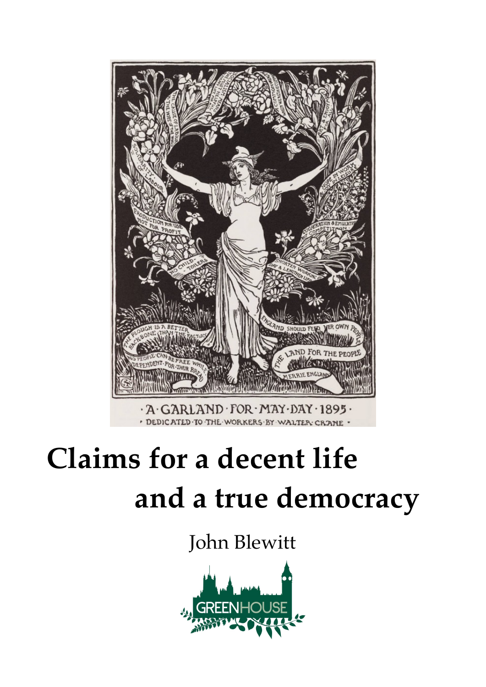

# **Claims for a decent life and a true democracy**

John Blewitt

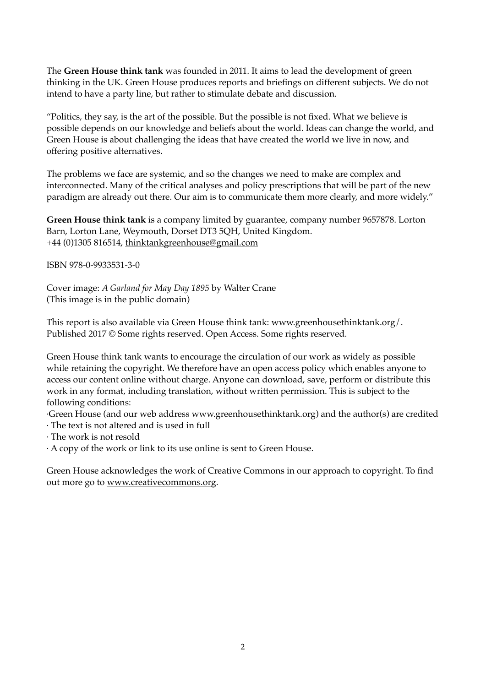The **Green House think tank** was founded in 2011. It aims to lead the development of green thinking in the UK. Green House produces reports and briefings on different subjects. We do not intend to have a party line, but rather to stimulate debate and discussion.

"Politics, they say, is the art of the possible. But the possible is not fixed. What we believe is possible depends on our knowledge and beliefs about the world. Ideas can change the world, and Green House is about challenging the ideas that have created the world we live in now, and offering positive alternatives.

The problems we face are systemic, and so the changes we need to make are complex and interconnected. Many of the critical analyses and policy prescriptions that will be part of the new paradigm are already out there. Our aim is to communicate them more clearly, and more widely."

**Green House think tank** is a company limited by guarantee, company number 9657878. Lorton Barn, Lorton Lane, Weymouth, Dorset DT3 5QH, United Kingdom. +44 (0)1305 816514, thinktankgreenhouse@gmail.com

ISBN 978-0-9933531-3-0

Cover image: *A Garland for May Day 1895* by Walter Crane (This image is in the public domain)

This report is also available via Green House think tank: www.greenhousethinktank.org/. Published 2017 © Some rights reserved. Open Access. Some rights reserved.

Green House think tank wants to encourage the circulation of our work as widely as possible while retaining the copyright. We therefore have an open access policy which enables anyone to access our content online without charge. Anyone can download, save, perform or distribute this work in any format, including translation, without written permission. This is subject to the following conditions:

·Green House (and our web address www.greenhousethinktank.org) and the author(s) are credited · The text is not altered and is used in full

· The work is not resold

· A copy of the work or link to its use online is sent to Green House.

Green House acknowledges the work of Creative Commons in our approach to copyright. To find out more go to www.creativecommons.org.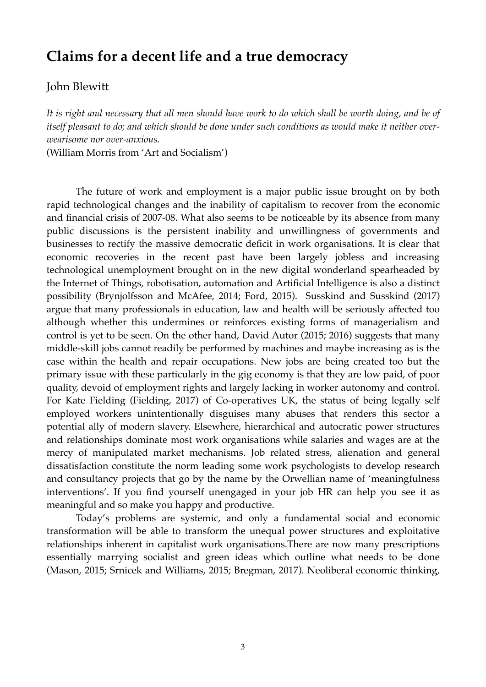## **Claims for a decent life and a true democracy**

John Blewitt

*It is right and necessary that all men should have work to do which shall be worth doing, and be of itself pleasant to do; and which should be done under such conditions as would make it neither overwearisome nor over-anxious.*

(William Morris from 'Art and Socialism')

The future of work and employment is a major public issue brought on by both rapid technological changes and the inability of capitalism to recover from the economic and financial crisis of 2007-08. What also seems to be noticeable by its absence from many public discussions is the persistent inability and unwillingness of governments and businesses to rectify the massive democratic deficit in work organisations. It is clear that economic recoveries in the recent past have been largely jobless and increasing technological unemployment brought on in the new digital wonderland spearheaded by the Internet of Things, robotisation, automation and Artificial Intelligence is also a distinct possibility (Brynjolfsson and McAfee, 2014; Ford, 2015). Susskind and Susskind (2017) argue that many professionals in education, law and health will be seriously affected too although whether this undermines or reinforces existing forms of managerialism and control is yet to be seen. On the other hand, David Autor (2015; 2016) suggests that many middle-skill jobs cannot readily be performed by machines and maybe increasing as is the case within the health and repair occupations. New jobs are being created too but the primary issue with these particularly in the gig economy is that they are low paid, of poor quality, devoid of employment rights and largely lacking in worker autonomy and control. For Kate Fielding (Fielding, 2017) of Co-operatives UK, the status of being legally self employed workers unintentionally disguises many abuses that renders this sector a potential ally of modern slavery. Elsewhere, hierarchical and autocratic power structures and relationships dominate most work organisations while salaries and wages are at the mercy of manipulated market mechanisms. Job related stress, alienation and general dissatisfaction constitute the norm leading some work psychologists to develop research and consultancy projects that go by the name by the Orwellian name of 'meaningfulness interventions'. If you find yourself unengaged in your job HR can help you see it as meaningful and so make you happy and productive.

Today's problems are systemic, and only a fundamental social and economic transformation will be able to transform the unequal power structures and exploitative relationships inherent in capitalist work organisations.There are now many prescriptions essentially marrying socialist and green ideas which outline what needs to be done (Mason, 2015; Srnicek and Williams, 2015; Bregman, 2017). Neoliberal economic thinking,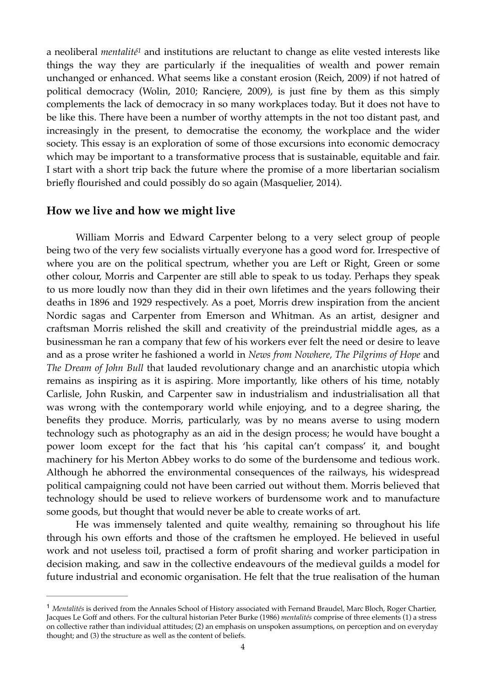a neoliberal *mentalité<sup>1</sup>* and institutions are reluctant to change as elite vested interests like things the way they are particularly if the inequalities of wealth and power remain unchanged or enhanced. What seems like a constant erosion (Reich, 2009) if not hatred of political democracy (Wolin, 2010; Rancięre, 2009), is just fine by them as this simply complements the lack of democracy in so many workplaces today. But it does not have to be like this. There have been a number of worthy attempts in the not too distant past, and increasingly in the present, to democratise the economy, the workplace and the wider society. This essay is an exploration of some of those excursions into economic democracy which may be important to a transformative process that is sustainable, equitable and fair. I start with a short trip back the future where the promise of a more libertarian socialism briefly flourished and could possibly do so again (Masquelier, 2014).

#### **How we live and how we might live**

William Morris and Edward Carpenter belong to a very select group of people being two of the very few socialists virtually everyone has a good word for. Irrespective of where you are on the political spectrum, whether you are Left or Right, Green or some other colour, Morris and Carpenter are still able to speak to us today. Perhaps they speak to us more loudly now than they did in their own lifetimes and the years following their deaths in 1896 and 1929 respectively. As a poet, Morris drew inspiration from the ancient Nordic sagas and Carpenter from Emerson and Whitman. As an artist, designer and craftsman Morris relished the skill and creativity of the preindustrial middle ages, as a businessman he ran a company that few of his workers ever felt the need or desire to leave and as a prose writer he fashioned a world in *News from Nowhere, The Pilgrims of Hope* and *The Dream of John Bull* that lauded revolutionary change and an anarchistic utopia which remains as inspiring as it is aspiring. More importantly, like others of his time, notably Carlisle, John Ruskin, and Carpenter saw in industrialism and industrialisation all that was wrong with the contemporary world while enjoying, and to a degree sharing, the benefits they produce. Morris, particularly, was by no means averse to using modern technology such as photography as an aid in the design process; he would have bought a power loom except for the fact that his 'his capital can't compass' it, and bought machinery for his Merton Abbey works to do some of the burdensome and tedious work. Although he abhorred the environmental consequences of the railways, his widespread political campaigning could not have been carried out without them. Morris believed that technology should be used to relieve workers of burdensome work and to manufacture some goods, but thought that would never be able to create works of art.

He was immensely talented and quite wealthy, remaining so throughout his life through his own efforts and those of the craftsmen he employed. He believed in useful work and not useless toil, practised a form of profit sharing and worker participation in decision making, and saw in the collective endeavours of the medieval guilds a model for future industrial and economic organisation. He felt that the true realisation of the human

<sup>&</sup>lt;sup>1</sup> Mentalités is derived from the Annales School of History associated with Fernand Braudel, Marc Bloch, Roger Chartier, Jacques Le Goff and others. For the cultural historian Peter Burke (1986) *mentalités* comprise of three elements (1) a stress on collective rather than individual attitudes; (2) an emphasis on unspoken assumptions, on perception and on everyday thought; and (3) the structure as well as the content of beliefs.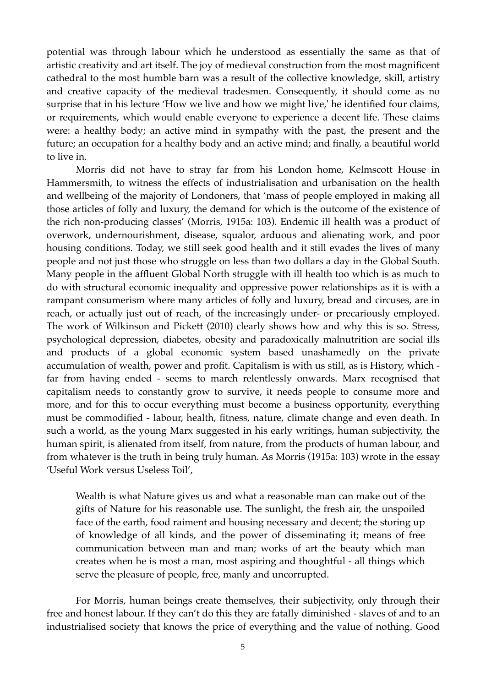potential was through labour which he understood as essentially the same as that of artistic creativity and art itself. The joy of medieval construction from the most magnificent cathedral to the most humble barn was a result of the collective knowledge, skill, artistry and creative capacity of the medieval tradesmen. Consequently, it should come as no surprise that in his lecture 'How we live and how we might live,' he identified four claims, or requirements, which would enable everyone to experience a decent life. These claims were: a healthy body; an active mind in sympathy with the past, the present and the future; an occupation for a healthy body and an active mind; and finally, a beautiful world to live in.

Morris did not have to stray far from his London home, Kelmscott House in Hammersmith, to witness the effects of industrialisation and urbanisation on the health and wellbeing of the majority of Londoners, that 'mass of people employed in making all those articles of folly and luxury, the demand for which is the outcome of the existence of the rich non-producing classes' (Morris, 1915a: 103). Endemic ill health was a product of overwork, undernourishment, disease, squalor, arduous and alienating work, and poor housing conditions. Today, we still seek good health and it still evades the lives of many people and not just those who struggle on less than two dollars a day in the Global South. Many people in the affluent Global North struggle with ill health too which is as much to do with structural economic inequality and oppressive power relationships as it is with a rampant consumerism where many articles of folly and luxury, bread and circuses, are in reach, or actually just out of reach, of the increasingly under- or precariously employed. The work of Wilkinson and Pickett (2010) clearly shows how and why this is so. Stress, psychological depression, diabetes, obesity and paradoxically malnutrition are social ills and products of a global economic system based unashamedly on the private accumulation of wealth, power and profit. Capitalism is with us still, as is History, which far from having ended - seems to march relentlessly onwards. Marx recognised that capitalism needs to constantly grow to survive, it needs people to consume more and more, and for this to occur everything must become a business opportunity, everything must be commodified - labour, health, fitness, nature, climate change and even death. In such a world, as the young Marx suggested in his early writings, human subjectivity, the human spirit, is alienated from itself, from nature, from the products of human labour, and from whatever is the truth in being truly human. As Morris (1915a: 103) wrote in the essay 'Useful Work versus Useless Toil',

Wealth is what Nature gives us and what a reasonable man can make out of the gifts of Nature for his reasonable use. The sunlight, the fresh air, the unspoiled face of the earth, food raiment and housing necessary and decent; the storing up of knowledge of all kinds, and the power of disseminating it; means of free communication between man and man; works of art the beauty which man creates when he is most a man, most aspiring and thoughtful - all things which serve the pleasure of people, free, manly and uncorrupted.

For Morris, human beings create themselves, their subjectivity, only through their free and honest labour. If they can't do this they are fatally diminished - slaves of and to an industrialised society that knows the price of everything and the value of nothing. Good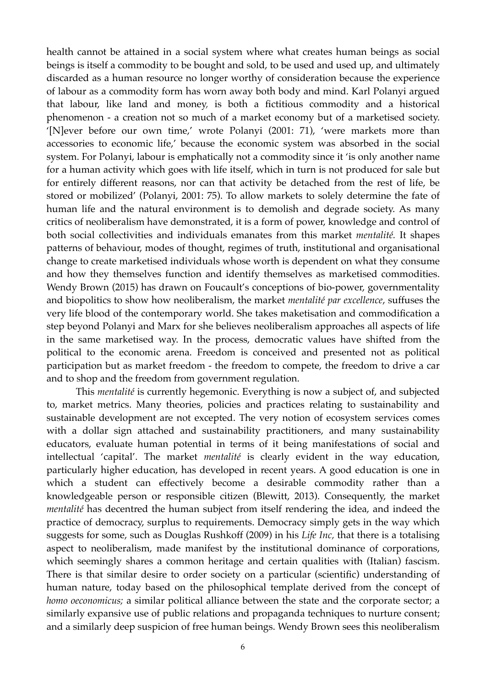health cannot be attained in a social system where what creates human beings as social beings is itself a commodity to be bought and sold, to be used and used up, and ultimately discarded as a human resource no longer worthy of consideration because the experience of labour as a commodity form has worn away both body and mind. Karl Polanyi argued that labour, like land and money, is both a fictitious commodity and a historical phenomenon - a creation not so much of a market economy but of a marketised society. '[N]ever before our own time,' wrote Polanyi (2001: 71), 'were markets more than accessories to economic life,' because the economic system was absorbed in the social system. For Polanyi, labour is emphatically not a commodity since it 'is only another name for a human activity which goes with life itself, which in turn is not produced for sale but for entirely different reasons, nor can that activity be detached from the rest of life, be stored or mobilized' (Polanyi, 2001: 75). To allow markets to solely determine the fate of human life and the natural environment is to demolish and degrade society. As many critics of neoliberalism have demonstrated, it is a form of power, knowledge and control of both social collectivities and individuals emanates from this market *mentalité.* It shapes patterns of behaviour, modes of thought, regimes of truth, institutional and organisational change to create marketised individuals whose worth is dependent on what they consume and how they themselves function and identify themselves as marketised commodities. Wendy Brown (2015) has drawn on Foucault's conceptions of bio-power, governmentality and biopolitics to show how neoliberalism, the market *mentalité par excellence*, suffuses the very life blood of the contemporary world. She takes maketisation and commodification a step beyond Polanyi and Marx for she believes neoliberalism approaches all aspects of life in the same marketised way. In the process, democratic values have shifted from the political to the economic arena. Freedom is conceived and presented not as political participation but as market freedom - the freedom to compete, the freedom to drive a car and to shop and the freedom from government regulation.

This *mentalité* is currently hegemonic. Everything is now a subject of, and subjected to, market metrics. Many theories, policies and practices relating to sustainability and sustainable development are not excepted. The very notion of ecosystem services comes with a dollar sign attached and sustainability practitioners, and many sustainability educators, evaluate human potential in terms of it being manifestations of social and intellectual 'capital'. The market *mentalité* is clearly evident in the way education, particularly higher education, has developed in recent years. A good education is one in which a student can effectively become a desirable commodity rather than a knowledgeable person or responsible citizen (Blewitt, 2013). Consequently, the market *mentalité* has decentred the human subject from itself rendering the idea, and indeed the practice of democracy, surplus to requirements. Democracy simply gets in the way which suggests for some, such as Douglas Rushkoff (2009) in his *Life Inc,* that there is a totalising aspect to neoliberalism, made manifest by the institutional dominance of corporations, which seemingly shares a common heritage and certain qualities with (Italian) fascism. There is that similar desire to order society on a particular (scientific) understanding of human nature, today based on the philosophical template derived from the concept of *homo oeconomicus;* a similar political alliance between the state and the corporate sector; a similarly expansive use of public relations and propaganda techniques to nurture consent; and a similarly deep suspicion of free human beings. Wendy Brown sees this neoliberalism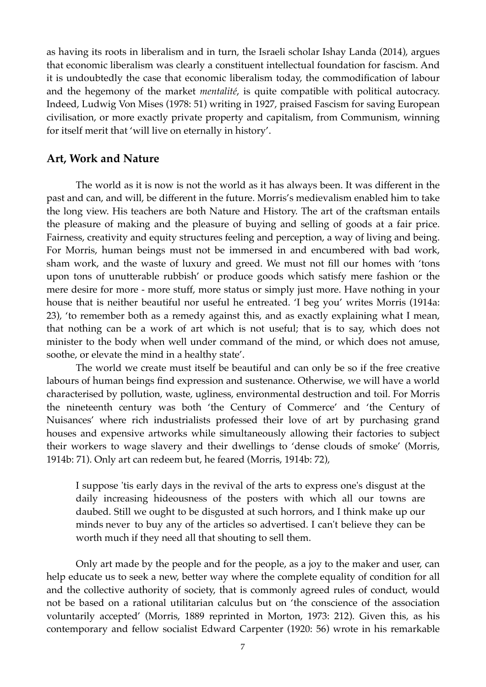as having its roots in liberalism and in turn, the Israeli scholar Ishay Landa (2014), argues that economic liberalism was clearly a constituent intellectual foundation for fascism. And it is undoubtedly the case that economic liberalism today, the commodification of labour and the hegemony of the market *mentalité*, is quite compatible with political autocracy. Indeed, Ludwig Von Mises (1978: 51) writing in 1927, praised Fascism for saving European civilisation, or more exactly private property and capitalism, from Communism, winning for itself merit that 'will live on eternally in history'.

#### **Art, Work and Nature**

The world as it is now is not the world as it has always been. It was different in the past and can, and will, be different in the future. Morris's medievalism enabled him to take the long view. His teachers are both Nature and History. The art of the craftsman entails the pleasure of making and the pleasure of buying and selling of goods at a fair price. Fairness, creativity and equity structures feeling and perception, a way of living and being. For Morris, human beings must not be immersed in and encumbered with bad work, sham work, and the waste of luxury and greed. We must not fill our homes with 'tons upon tons of unutterable rubbish' or produce goods which satisfy mere fashion or the mere desire for more - more stuff, more status or simply just more. Have nothing in your house that is neither beautiful nor useful he entreated. 'I beg you' writes Morris (1914a: 23), 'to remember both as a remedy against this, and as exactly explaining what I mean, that nothing can be a work of art which is not useful; that is to say, which does not minister to the body when well under command of the mind, or which does not amuse, soothe, or elevate the mind in a healthy state'.

The world we create must itself be beautiful and can only be so if the free creative labours of human beings find expression and sustenance. Otherwise, we will have a world characterised by pollution, waste, ugliness, environmental destruction and toil. For Morris the nineteenth century was both 'the Century of Commerce' and 'the Century of Nuisances' where rich industrialists professed their love of art by purchasing grand houses and expensive artworks while simultaneously allowing their factories to subject their workers to wage slavery and their dwellings to 'dense clouds of smoke' (Morris, 1914b: 71). Only art can redeem but, he feared (Morris, 1914b: 72),

I suppose 'tis early days in the revival of the arts to express one's disgust at the daily increasing hideousness of the posters with which all our towns are daubed. Still we ought to be disgusted at such horrors, and I think make up our minds never to buy any of the articles so advertised. I can't believe they can be worth much if they need all that shouting to sell them.

Only art made by the people and for the people, as a joy to the maker and user, can help educate us to seek a new, better way where the complete equality of condition for all and the collective authority of society, that is commonly agreed rules of conduct, would not be based on a rational utilitarian calculus but on 'the conscience of the association voluntarily accepted' (Morris, 1889 reprinted in Morton, 1973: 212). Given this, as his contemporary and fellow socialist Edward Carpenter (1920: 56) wrote in his remarkable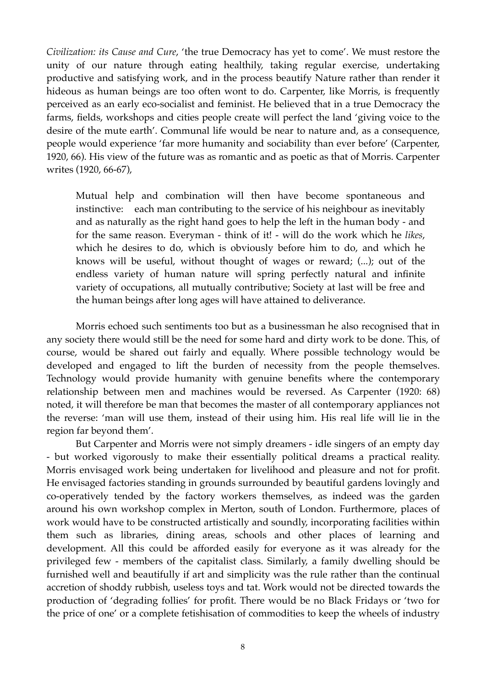*Civilization: its Cause and Cure*, 'the true Democracy has yet to come'. We must restore the unity of our nature through eating healthily, taking regular exercise, undertaking productive and satisfying work, and in the process beautify Nature rather than render it hideous as human beings are too often wont to do. Carpenter, like Morris, is frequently perceived as an early eco-socialist and feminist. He believed that in a true Democracy the farms, fields, workshops and cities people create will perfect the land 'giving voice to the desire of the mute earth'. Communal life would be near to nature and, as a consequence, people would experience 'far more humanity and sociability than ever before' (Carpenter, 1920, 66). His view of the future was as romantic and as poetic as that of Morris. Carpenter writes (1920, 66-67),

Mutual help and combination will then have become spontaneous and instinctive: each man contributing to the service of his neighbour as inevitably and as naturally as the right hand goes to help the left in the human body - and for the same reason. Everyman - think of it! - will do the work which he *likes*, which he desires to do, which is obviously before him to do, and which he knows will be useful, without thought of wages or reward; (...); out of the endless variety of human nature will spring perfectly natural and infinite variety of occupations, all mutually contributive; Society at last will be free and the human beings after long ages will have attained to deliverance.

Morris echoed such sentiments too but as a businessman he also recognised that in any society there would still be the need for some hard and dirty work to be done. This, of course, would be shared out fairly and equally. Where possible technology would be developed and engaged to lift the burden of necessity from the people themselves. Technology would provide humanity with genuine benefits where the contemporary relationship between men and machines would be reversed. As Carpenter (1920: 68) noted, it will therefore be man that becomes the master of all contemporary appliances not the reverse: 'man will use them, instead of their using him. His real life will lie in the region far beyond them'.

But Carpenter and Morris were not simply dreamers - idle singers of an empty day - but worked vigorously to make their essentially political dreams a practical reality. Morris envisaged work being undertaken for livelihood and pleasure and not for profit. He envisaged factories standing in grounds surrounded by beautiful gardens lovingly and co-operatively tended by the factory workers themselves, as indeed was the garden around his own workshop complex in Merton, south of London. Furthermore, places of work would have to be constructed artistically and soundly, incorporating facilities within them such as libraries, dining areas, schools and other places of learning and development. All this could be afforded easily for everyone as it was already for the privileged few - members of the capitalist class. Similarly, a family dwelling should be furnished well and beautifully if art and simplicity was the rule rather than the continual accretion of shoddy rubbish, useless toys and tat. Work would not be directed towards the production of 'degrading follies' for profit. There would be no Black Fridays or 'two for the price of one' or a complete fetishisation of commodities to keep the wheels of industry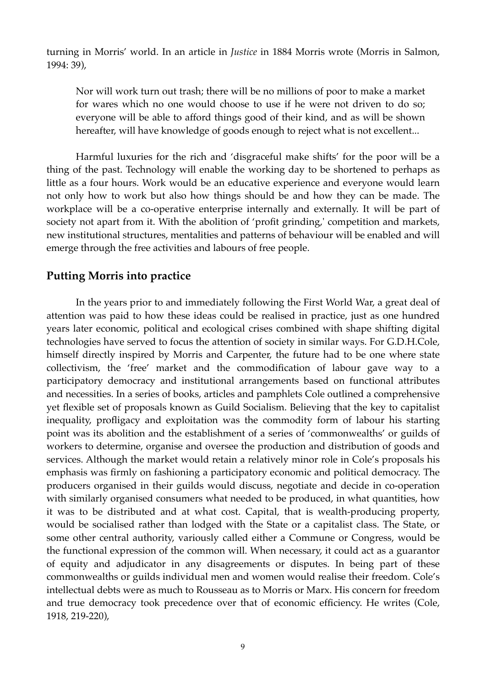turning in Morris' world. In an article in *Justice* in 1884 Morris wrote (Morris in Salmon, 1994: 39),

Nor will work turn out trash; there will be no millions of poor to make a market for wares which no one would choose to use if he were not driven to do so; everyone will be able to afford things good of their kind, and as will be shown hereafter, will have knowledge of goods enough to reject what is not excellent...

Harmful luxuries for the rich and 'disgraceful make shifts' for the poor will be a thing of the past. Technology will enable the working day to be shortened to perhaps as little as a four hours. Work would be an educative experience and everyone would learn not only how to work but also how things should be and how they can be made. The workplace will be a co-operative enterprise internally and externally. It will be part of society not apart from it. With the abolition of 'profit grinding,' competition and markets, new institutional structures, mentalities and patterns of behaviour will be enabled and will emerge through the free activities and labours of free people.

## **Putting Morris into practice**

In the years prior to and immediately following the First World War, a great deal of attention was paid to how these ideas could be realised in practice, just as one hundred years later economic, political and ecological crises combined with shape shifting digital technologies have served to focus the attention of society in similar ways. For G.D.H.Cole, himself directly inspired by Morris and Carpenter, the future had to be one where state collectivism, the 'free' market and the commodification of labour gave way to a participatory democracy and institutional arrangements based on functional attributes and necessities. In a series of books, articles and pamphlets Cole outlined a comprehensive yet flexible set of proposals known as Guild Socialism. Believing that the key to capitalist inequality, profligacy and exploitation was the commodity form of labour his starting point was its abolition and the establishment of a series of 'commonwealths' or guilds of workers to determine, organise and oversee the production and distribution of goods and services. Although the market would retain a relatively minor role in Cole's proposals his emphasis was firmly on fashioning a participatory economic and political democracy. The producers organised in their guilds would discuss, negotiate and decide in co-operation with similarly organised consumers what needed to be produced, in what quantities, how it was to be distributed and at what cost. Capital, that is wealth-producing property, would be socialised rather than lodged with the State or a capitalist class. The State, or some other central authority, variously called either a Commune or Congress, would be the functional expression of the common will. When necessary, it could act as a guarantor of equity and adjudicator in any disagreements or disputes. In being part of these commonwealths or guilds individual men and women would realise their freedom. Cole's intellectual debts were as much to Rousseau as to Morris or Marx. His concern for freedom and true democracy took precedence over that of economic efficiency. He writes (Cole, 1918, 219-220),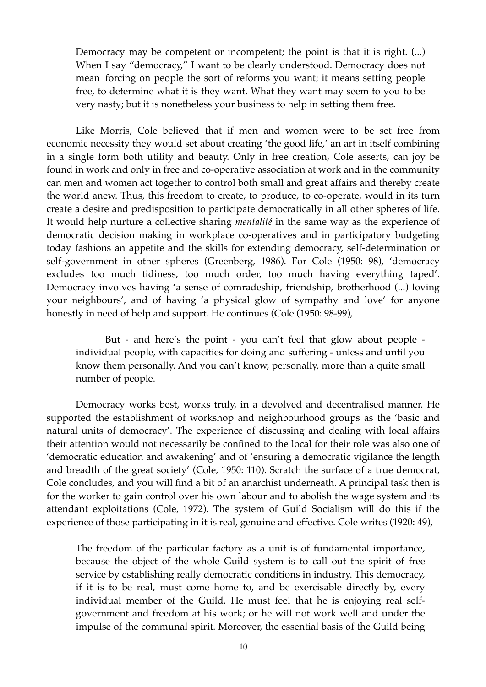Democracy may be competent or incompetent; the point is that it is right. (...) When I say "democracy," I want to be clearly understood. Democracy does not mean forcing on people the sort of reforms you want; it means setting people free, to determine what it is they want. What they want may seem to you to be very nasty; but it is nonetheless your business to help in setting them free.

Like Morris, Cole believed that if men and women were to be set free from economic necessity they would set about creating 'the good life,' an art in itself combining in a single form both utility and beauty. Only in free creation, Cole asserts, can joy be found in work and only in free and co-operative association at work and in the community can men and women act together to control both small and great affairs and thereby create the world anew. Thus, this freedom to create, to produce, to co-operate, would in its turn create a desire and predisposition to participate democratically in all other spheres of life. It would help nurture a collective sharing *mentalité* in the same way as the experience of democratic decision making in workplace co-operatives and in participatory budgeting today fashions an appetite and the skills for extending democracy, self-determination or self-government in other spheres (Greenberg, 1986). For Cole (1950: 98), 'democracy excludes too much tidiness, too much order, too much having everything taped'. Democracy involves having 'a sense of comradeship, friendship, brotherhood (...) loving your neighbours', and of having 'a physical glow of sympathy and love' for anyone honestly in need of help and support. He continues (Cole (1950: 98-99),

But - and here's the point - you can't feel that glow about people individual people, with capacities for doing and suffering - unless and until you know them personally. And you can't know, personally, more than a quite small number of people.

Democracy works best, works truly, in a devolved and decentralised manner. He supported the establishment of workshop and neighbourhood groups as the 'basic and natural units of democracy'. The experience of discussing and dealing with local affairs their attention would not necessarily be confined to the local for their role was also one of 'democratic education and awakening' and of 'ensuring a democratic vigilance the length and breadth of the great society' (Cole, 1950: 110). Scratch the surface of a true democrat, Cole concludes, and you will find a bit of an anarchist underneath. A principal task then is for the worker to gain control over his own labour and to abolish the wage system and its attendant exploitations (Cole, 1972). The system of Guild Socialism will do this if the experience of those participating in it is real, genuine and effective. Cole writes (1920: 49),

The freedom of the particular factory as a unit is of fundamental importance, because the object of the whole Guild system is to call out the spirit of free service by establishing really democratic conditions in industry. This democracy, if it is to be real, must come home to, and be exercisable directly by, every individual member of the Guild. He must feel that he is enjoying real selfgovernment and freedom at his work; or he will not work well and under the impulse of the communal spirit. Moreover, the essential basis of the Guild being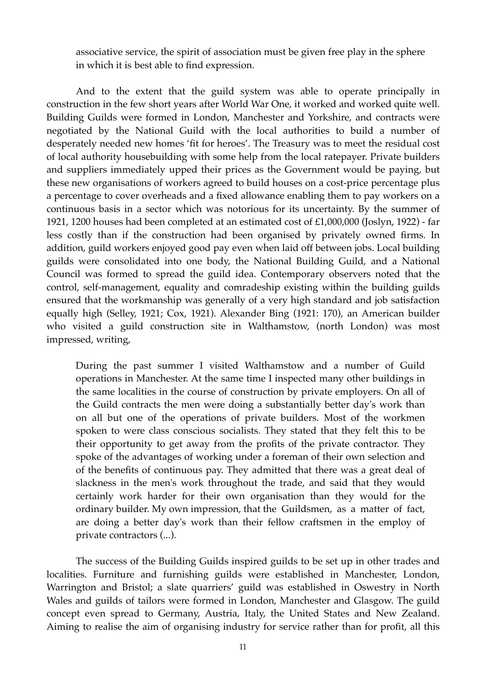associative service, the spirit of association must be given free play in the sphere in which it is best able to find expression.

And to the extent that the guild system was able to operate principally in construction in the few short years after World War One, it worked and worked quite well. Building Guilds were formed in London, Manchester and Yorkshire, and contracts were negotiated by the National Guild with the local authorities to build a number of desperately needed new homes 'fit for heroes'. The Treasury was to meet the residual cost of local authority housebuilding with some help from the local ratepayer. Private builders and suppliers immediately upped their prices as the Government would be paying, but these new organisations of workers agreed to build houses on a cost-price percentage plus a percentage to cover overheads and a fixed allowance enabling them to pay workers on a continuous basis in a sector which was notorious for its uncertainty. By the summer of 1921, 1200 houses had been completed at an estimated cost of £1,000,000 (Joslyn, 1922) - far less costly than if the construction had been organised by privately owned firms. In addition, guild workers enjoyed good pay even when laid off between jobs. Local building guilds were consolidated into one body, the National Building Guild, and a National Council was formed to spread the guild idea. Contemporary observers noted that the control, self-management, equality and comradeship existing within the building guilds ensured that the workmanship was generally of a very high standard and job satisfaction equally high (Selley, 1921; Cox, 1921). Alexander Bing (1921: 170), an American builder who visited a guild construction site in Walthamstow, (north London) was most impressed, writing,

During the past summer I visited Walthamstow and a number of Guild operations in Manchester. At the same time I inspected many other buildings in the same localities in the course of construction by private employers. On all of the Guild contracts the men were doing a substantially better day's work than on all but one of the operations of private builders. Most of the workmen spoken to were class conscious socialists. They stated that they felt this to be their opportunity to get away from the profits of the private contractor. They spoke of the advantages of working under a foreman of their own selection and of the benefits of continuous pay. They admitted that there was a great deal of slackness in the men's work throughout the trade, and said that they would certainly work harder for their own organisation than they would for the ordinary builder. My own impression, that the Guildsmen, as a matter of fact, are doing a better day's work than their fellow craftsmen in the employ of private contractors (...).

The success of the Building Guilds inspired guilds to be set up in other trades and localities. Furniture and furnishing guilds were established in Manchester, London, Warrington and Bristol; a slate quarriers' guild was established in Oswestry in North Wales and guilds of tailors were formed in London, Manchester and Glasgow. The guild concept even spread to Germany, Austria, Italy, the United States and New Zealand. Aiming to realise the aim of organising industry for service rather than for profit, all this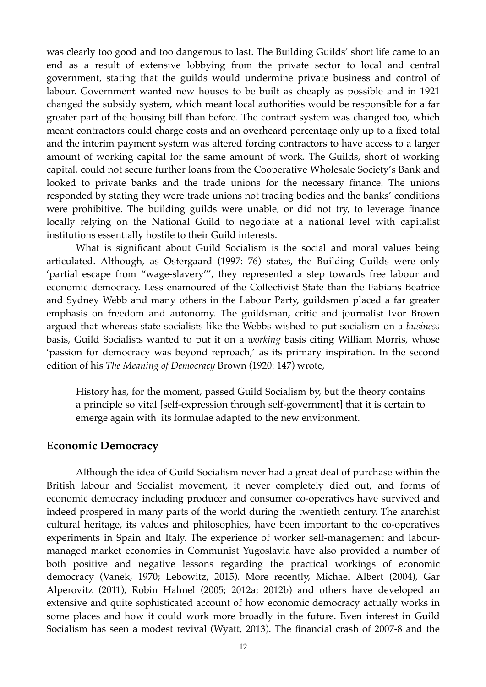was clearly too good and too dangerous to last. The Building Guilds' short life came to an end as a result of extensive lobbying from the private sector to local and central government, stating that the guilds would undermine private business and control of labour. Government wanted new houses to be built as cheaply as possible and in 1921 changed the subsidy system, which meant local authorities would be responsible for a far greater part of the housing bill than before. The contract system was changed too, which meant contractors could charge costs and an overheard percentage only up to a fixed total and the interim payment system was altered forcing contractors to have access to a larger amount of working capital for the same amount of work. The Guilds, short of working capital, could not secure further loans from the Cooperative Wholesale Society's Bank and looked to private banks and the trade unions for the necessary finance. The unions responded by stating they were trade unions not trading bodies and the banks' conditions were prohibitive. The building guilds were unable, or did not try, to leverage finance locally relying on the National Guild to negotiate at a national level with capitalist institutions essentially hostile to their Guild interests.

What is significant about Guild Socialism is the social and moral values being articulated. Although, as Ostergaard (1997: 76) states, the Building Guilds were only 'partial escape from "wage-slavery''', they represented a step towards free labour and economic democracy. Less enamoured of the Collectivist State than the Fabians Beatrice and Sydney Webb and many others in the Labour Party, guildsmen placed a far greater emphasis on freedom and autonomy. The guildsman, critic and journalist Ivor Brown argued that whereas state socialists like the Webbs wished to put socialism on a *business* basis, Guild Socialists wanted to put it on a *working* basis citing William Morris, whose 'passion for democracy was beyond reproach,' as its primary inspiration. In the second edition of his *The Meaning of Democracy* Brown (1920: 147) wrote,

History has, for the moment, passed Guild Socialism by, but the theory contains a principle so vital [self-expression through self-government] that it is certain to emerge again with its formulae adapted to the new environment.

#### **Economic Democracy**

Although the idea of Guild Socialism never had a great deal of purchase within the British labour and Socialist movement, it never completely died out, and forms of economic democracy including producer and consumer co-operatives have survived and indeed prospered in many parts of the world during the twentieth century. The anarchist cultural heritage, its values and philosophies, have been important to the co-operatives experiments in Spain and Italy. The experience of worker self-management and labourmanaged market economies in Communist Yugoslavia have also provided a number of both positive and negative lessons regarding the practical workings of economic democracy (Vanek, 1970; Lebowitz, 2015). More recently, Michael Albert (2004), Gar Alperovitz (2011), Robin Hahnel (2005; 2012a; 2012b) and others have developed an extensive and quite sophisticated account of how economic democracy actually works in some places and how it could work more broadly in the future. Even interest in Guild Socialism has seen a modest revival (Wyatt, 2013). The financial crash of 2007-8 and the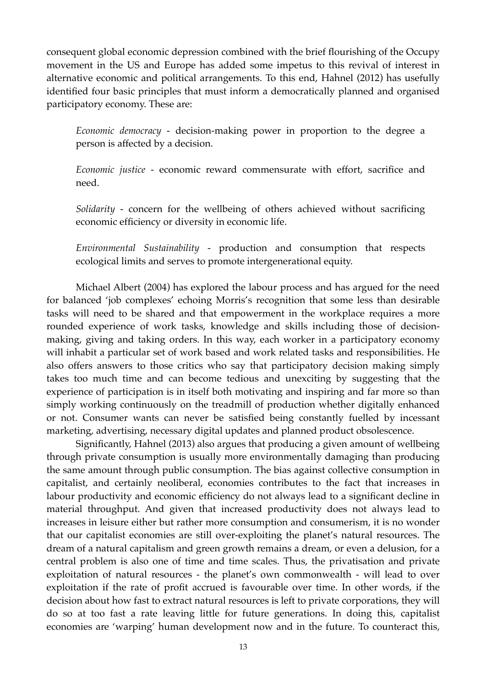consequent global economic depression combined with the brief flourishing of the Occupy movement in the US and Europe has added some impetus to this revival of interest in alternative economic and political arrangements. To this end, Hahnel (2012) has usefully identified four basic principles that must inform a democratically planned and organised participatory economy. These are:

*Economic democracy* - decision-making power in proportion to the degree a person is affected by a decision.

*Economic justice* - economic reward commensurate with effort, sacrifice and need.

*Solidarity* - concern for the wellbeing of others achieved without sacrificing economic efficiency or diversity in economic life.

*Environmental Sustainability* - production and consumption that respects ecological limits and serves to promote intergenerational equity.

Michael Albert (2004) has explored the labour process and has argued for the need for balanced 'job complexes' echoing Morris's recognition that some less than desirable tasks will need to be shared and that empowerment in the workplace requires a more rounded experience of work tasks, knowledge and skills including those of decisionmaking, giving and taking orders. In this way, each worker in a participatory economy will inhabit a particular set of work based and work related tasks and responsibilities. He also offers answers to those critics who say that participatory decision making simply takes too much time and can become tedious and unexciting by suggesting that the experience of participation is in itself both motivating and inspiring and far more so than simply working continuously on the treadmill of production whether digitally enhanced or not. Consumer wants can never be satisfied being constantly fuelled by incessant marketing, advertising, necessary digital updates and planned product obsolescence.

Significantly, Hahnel (2013) also argues that producing a given amount of wellbeing through private consumption is usually more environmentally damaging than producing the same amount through public consumption. The bias against collective consumption in capitalist, and certainly neoliberal, economies contributes to the fact that increases in labour productivity and economic efficiency do not always lead to a significant decline in material throughput. And given that increased productivity does not always lead to increases in leisure either but rather more consumption and consumerism, it is no wonder that our capitalist economies are still over-exploiting the planet's natural resources. The dream of a natural capitalism and green growth remains a dream, or even a delusion, for a central problem is also one of time and time scales. Thus, the privatisation and private exploitation of natural resources - the planet's own commonwealth - will lead to over exploitation if the rate of profit accrued is favourable over time. In other words, if the decision about how fast to extract natural resources is left to private corporations, they will do so at too fast a rate leaving little for future generations. In doing this, capitalist economies are 'warping' human development now and in the future. To counteract this,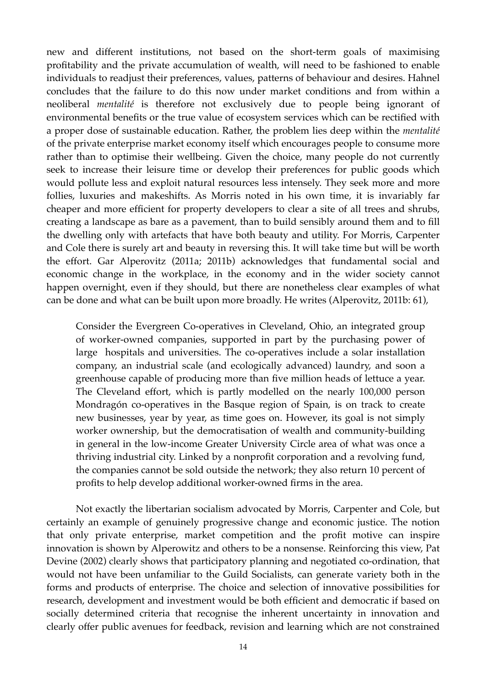new and different institutions, not based on the short-term goals of maximising profitability and the private accumulation of wealth, will need to be fashioned to enable individuals to readjust their preferences, values, patterns of behaviour and desires. Hahnel concludes that the failure to do this now under market conditions and from within a neoliberal *mentalité* is therefore not exclusively due to people being ignorant of environmental benefits or the true value of ecosystem services which can be rectified with a proper dose of sustainable education. Rather, the problem lies deep within the *mentalité*  of the private enterprise market economy itself which encourages people to consume more rather than to optimise their wellbeing. Given the choice, many people do not currently seek to increase their leisure time or develop their preferences for public goods which would pollute less and exploit natural resources less intensely. They seek more and more follies, luxuries and makeshifts. As Morris noted in his own time, it is invariably far cheaper and more efficient for property developers to clear a site of all trees and shrubs, creating a landscape as bare as a pavement, than to build sensibly around them and to fill the dwelling only with artefacts that have both beauty and utility. For Morris, Carpenter and Cole there is surely art and beauty in reversing this. It will take time but will be worth the effort. Gar Alperovitz (2011a; 2011b) acknowledges that fundamental social and economic change in the workplace, in the economy and in the wider society cannot happen overnight, even if they should, but there are nonetheless clear examples of what can be done and what can be built upon more broadly. He writes (Alperovitz, 2011b: 61),

Consider the Evergreen Co-operatives in Cleveland, Ohio, an integrated group of worker-owned companies, supported in part by the purchasing power of large hospitals and universities. The co-operatives include a solar installation company, an industrial scale (and ecologically advanced) laundry, and soon a greenhouse capable of producing more than five million heads of lettuce a year. The Cleveland effort, which is partly modelled on the nearly 100,000 person Mondragón co-operatives in the Basque region of Spain, is on track to create new businesses, year by year, as time goes on. However, its goal is not simply worker ownership, but the democratisation of wealth and community-building in general in the low-income Greater University Circle area of what was once a thriving industrial city. Linked by a nonprofit corporation and a revolving fund, the companies cannot be sold outside the network; they also return 10 percent of profits to help develop additional worker-owned firms in the area.

Not exactly the libertarian socialism advocated by Morris, Carpenter and Cole, but certainly an example of genuinely progressive change and economic justice. The notion that only private enterprise, market competition and the profit motive can inspire innovation is shown by Alperowitz and others to be a nonsense. Reinforcing this view, Pat Devine (2002) clearly shows that participatory planning and negotiated co-ordination, that would not have been unfamiliar to the Guild Socialists, can generate variety both in the forms and products of enterprise. The choice and selection of innovative possibilities for research, development and investment would be both efficient and democratic if based on socially determined criteria that recognise the inherent uncertainty in innovation and clearly offer public avenues for feedback, revision and learning which are not constrained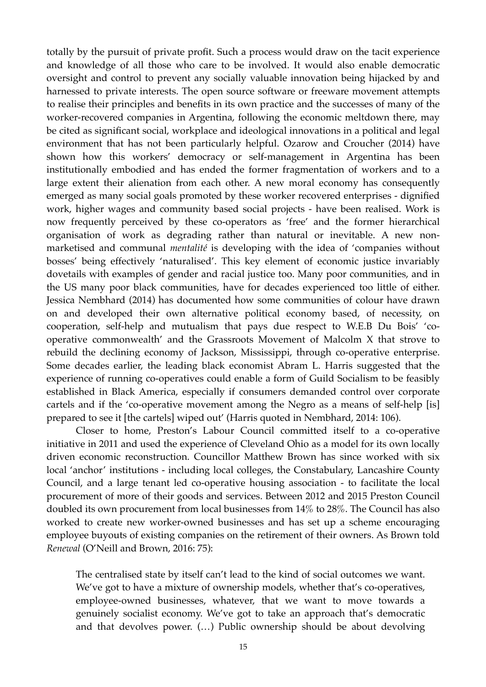totally by the pursuit of private profit. Such a process would draw on the tacit experience and knowledge of all those who care to be involved. It would also enable democratic oversight and control to prevent any socially valuable innovation being hijacked by and harnessed to private interests. The open source software or freeware movement attempts to realise their principles and benefits in its own practice and the successes of many of the worker-recovered companies in Argentina, following the economic meltdown there, may be cited as significant social, workplace and ideological innovations in a political and legal environment that has not been particularly helpful. Ozarow and Croucher (2014) have shown how this workers' democracy or self-management in Argentina has been institutionally embodied and has ended the former fragmentation of workers and to a large extent their alienation from each other. A new moral economy has consequently emerged as many social goals promoted by these worker recovered enterprises - dignified work, higher wages and community based social projects - have been realised. Work is now frequently perceived by these co-operators as 'free' and the former hierarchical organisation of work as degrading rather than natural or inevitable. A new nonmarketised and communal *mentalité* is developing with the idea of 'companies without bosses' being effectively 'naturalised'. This key element of economic justice invariably dovetails with examples of gender and racial justice too. Many poor communities, and in the US many poor black communities, have for decades experienced too little of either. Jessica Nembhard (2014) has documented how some communities of colour have drawn on and developed their own alternative political economy based, of necessity, on cooperation, self-help and mutualism that pays due respect to W.E.B Du Bois' 'cooperative commonwealth' and the Grassroots Movement of Malcolm X that strove to rebuild the declining economy of Jackson, Mississippi, through co-operative enterprise. Some decades earlier, the leading black economist Abram L. Harris suggested that the experience of running co-operatives could enable a form of Guild Socialism to be feasibly established in Black America, especially if consumers demanded control over corporate cartels and if the 'co-operative movement among the Negro as a means of self-help [is] prepared to see it [the cartels] wiped out' (Harris quoted in Nembhard, 2014: 106).

Closer to home, Preston's Labour Council committed itself to a co-operative initiative in 2011 and used the experience of Cleveland Ohio as a model for its own locally driven economic reconstruction. Councillor Matthew Brown has since worked with six local 'anchor' institutions - including local colleges, the Constabulary, Lancashire County Council, and a large tenant led co-operative housing association - to facilitate the local procurement of more of their goods and services. Between 2012 and 2015 Preston Council doubled its own procurement from local businesses from 14% to 28%. The Council has also worked to create new worker-owned businesses and has set up a scheme encouraging employee buyouts of existing companies on the retirement of their owners. As Brown told *Renewal* (O'Neill and Brown, 2016: 75):

The centralised state by itself can't lead to the kind of social outcomes we want. We've got to have a mixture of ownership models, whether that's co-operatives, employee-owned businesses, whatever, that we want to move towards a genuinely socialist economy. We've got to take an approach that's democratic and that devolves power. (…) Public ownership should be about devolving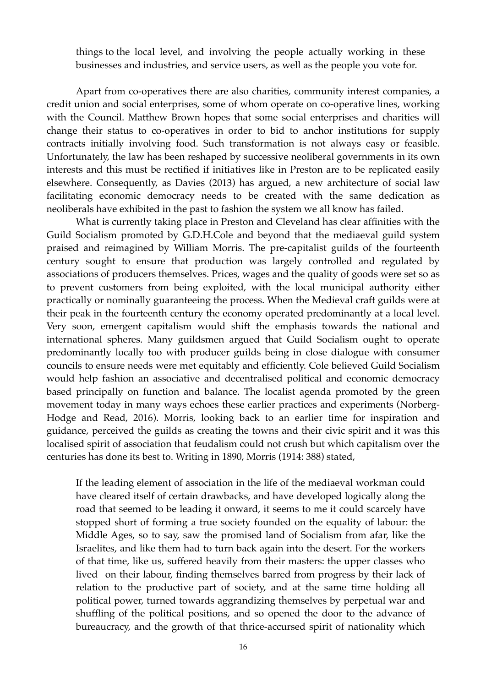things to the local level, and involving the people actually working in these businesses and industries, and service users, as well as the people you vote for.

Apart from co-operatives there are also charities, community interest companies, a credit union and social enterprises, some of whom operate on co-operative lines, working with the Council. Matthew Brown hopes that some social enterprises and charities will change their status to co-operatives in order to bid to anchor institutions for supply contracts initially involving food. Such transformation is not always easy or feasible. Unfortunately, the law has been reshaped by successive neoliberal governments in its own interests and this must be rectified if initiatives like in Preston are to be replicated easily elsewhere. Consequently, as Davies (2013) has argued, a new architecture of social law facilitating economic democracy needs to be created with the same dedication as neoliberals have exhibited in the past to fashion the system we all know has failed.

What is currently taking place in Preston and Cleveland has clear affinities with the Guild Socialism promoted by G.D.H.Cole and beyond that the mediaeval guild system praised and reimagined by William Morris. The pre-capitalist guilds of the fourteenth century sought to ensure that production was largely controlled and regulated by associations of producers themselves. Prices, wages and the quality of goods were set so as to prevent customers from being exploited, with the local municipal authority either practically or nominally guaranteeing the process. When the Medieval craft guilds were at their peak in the fourteenth century the economy operated predominantly at a local level. Very soon, emergent capitalism would shift the emphasis towards the national and international spheres. Many guildsmen argued that Guild Socialism ought to operate predominantly locally too with producer guilds being in close dialogue with consumer councils to ensure needs were met equitably and efficiently. Cole believed Guild Socialism would help fashion an associative and decentralised political and economic democracy based principally on function and balance. The localist agenda promoted by the green movement today in many ways echoes these earlier practices and experiments (Norberg-Hodge and Read, 2016). Morris, looking back to an earlier time for inspiration and guidance, perceived the guilds as creating the towns and their civic spirit and it was this localised spirit of association that feudalism could not crush but which capitalism over the centuries has done its best to. Writing in 1890, Morris (1914: 388) stated,

If the leading element of association in the life of the mediaeval workman could have cleared itself of certain drawbacks, and have developed logically along the road that seemed to be leading it onward, it seems to me it could scarcely have stopped short of forming a true society founded on the equality of labour: the Middle Ages, so to say, saw the promised land of Socialism from afar, like the Israelites, and like them had to turn back again into the desert. For the workers of that time, like us, suffered heavily from their masters: the upper classes who lived on their labour, finding themselves barred from progress by their lack of relation to the productive part of society, and at the same time holding all political power, turned towards aggrandizing themselves by perpetual war and shuffling of the political positions, and so opened the door to the advance of bureaucracy, and the growth of that thrice-accursed spirit of nationality which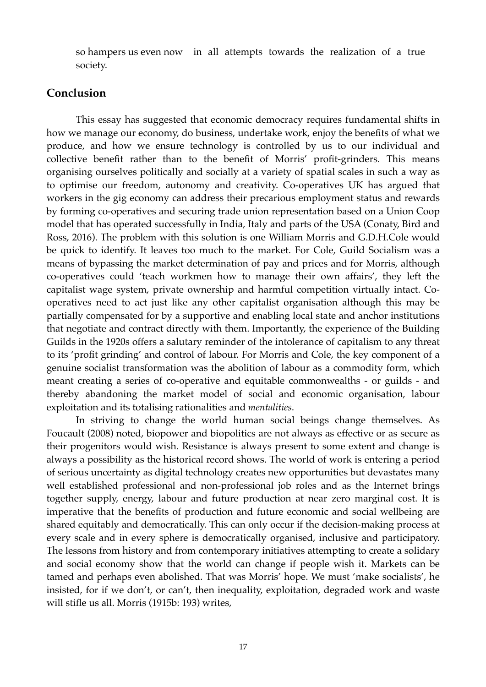so hampers us even now in all attempts towards the realization of a true society.

## **Conclusion**

This essay has suggested that economic democracy requires fundamental shifts in how we manage our economy, do business, undertake work, enjoy the benefits of what we produce, and how we ensure technology is controlled by us to our individual and collective benefit rather than to the benefit of Morris' profit-grinders. This means organising ourselves politically and socially at a variety of spatial scales in such a way as to optimise our freedom, autonomy and creativity. Co-operatives UK has argued that workers in the gig economy can address their precarious employment status and rewards by forming co-operatives and securing trade union representation based on a Union Coop model that has operated successfully in India, Italy and parts of the USA (Conaty, Bird and Ross, 2016). The problem with this solution is one William Morris and G.D.H.Cole would be quick to identify. It leaves too much to the market. For Cole, Guild Socialism was a means of bypassing the market determination of pay and prices and for Morris, although co-operatives could 'teach workmen how to manage their own affairs', they left the capitalist wage system, private ownership and harmful competition virtually intact. Cooperatives need to act just like any other capitalist organisation although this may be partially compensated for by a supportive and enabling local state and anchor institutions that negotiate and contract directly with them. Importantly, the experience of the Building Guilds in the 1920s offers a salutary reminder of the intolerance of capitalism to any threat to its 'profit grinding' and control of labour. For Morris and Cole, the key component of a genuine socialist transformation was the abolition of labour as a commodity form, which meant creating a series of co-operative and equitable commonwealths - or guilds - and thereby abandoning the market model of social and economic organisation, labour exploitation and its totalising rationalities and *mentalities*.

In striving to change the world human social beings change themselves. As Foucault (2008) noted, biopower and biopolitics are not always as effective or as secure as their progenitors would wish. Resistance is always present to some extent and change is always a possibility as the historical record shows. The world of work is entering a period of serious uncertainty as digital technology creates new opportunities but devastates many well established professional and non-professional job roles and as the Internet brings together supply, energy, labour and future production at near zero marginal cost. It is imperative that the benefits of production and future economic and social wellbeing are shared equitably and democratically. This can only occur if the decision-making process at every scale and in every sphere is democratically organised, inclusive and participatory. The lessons from history and from contemporary initiatives attempting to create a solidary and social economy show that the world can change if people wish it. Markets can be tamed and perhaps even abolished. That was Morris' hope. We must 'make socialists', he insisted, for if we don't, or can't, then inequality, exploitation, degraded work and waste will stifle us all. Morris (1915b: 193) writes,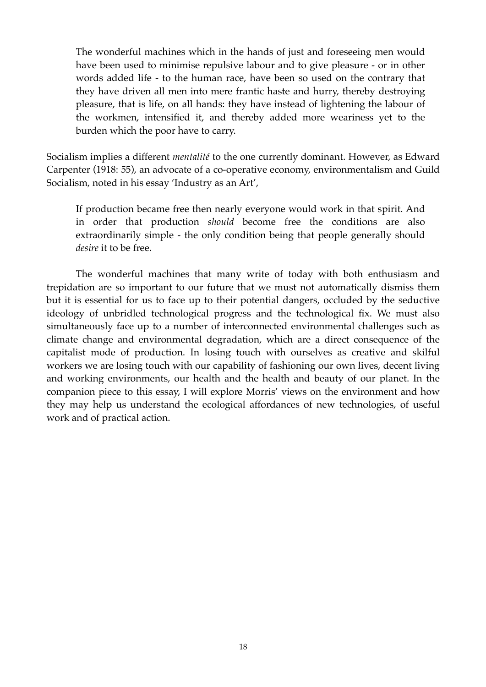The wonderful machines which in the hands of just and foreseeing men would have been used to minimise repulsive labour and to give pleasure - or in other words added life - to the human race, have been so used on the contrary that they have driven all men into mere frantic haste and hurry, thereby destroying pleasure, that is life, on all hands: they have instead of lightening the labour of the workmen, intensified it, and thereby added more weariness yet to the burden which the poor have to carry.

Socialism implies a different *mentalité* to the one currently dominant. However, as Edward Carpenter (1918: 55), an advocate of a co-operative economy, environmentalism and Guild Socialism, noted in his essay 'Industry as an Art',

If production became free then nearly everyone would work in that spirit. And in order that production *should* become free the conditions are also extraordinarily simple - the only condition being that people generally should *desire* it to be free.

The wonderful machines that many write of today with both enthusiasm and trepidation are so important to our future that we must not automatically dismiss them but it is essential for us to face up to their potential dangers, occluded by the seductive ideology of unbridled technological progress and the technological fix. We must also simultaneously face up to a number of interconnected environmental challenges such as climate change and environmental degradation, which are a direct consequence of the capitalist mode of production. In losing touch with ourselves as creative and skilful workers we are losing touch with our capability of fashioning our own lives, decent living and working environments, our health and the health and beauty of our planet. In the companion piece to this essay, I will explore Morris' views on the environment and how they may help us understand the ecological affordances of new technologies, of useful work and of practical action.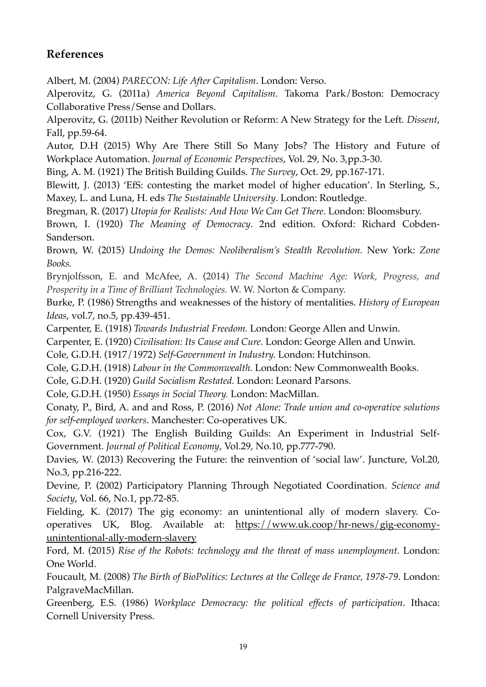## **References**

Albert, M. (2004) *PARECON: Life After Capitalism*. London: Verso.

Alperovitz, G. (2011a) *America Beyond Capitalism*. Takoma Park/Boston: Democracy Collaborative Press/Sense and Dollars.

Alperovitz, G. (2011b) Neither Revolution or Reform: A New Strategy for the Left. *Dissent*, Fall, pp.59-64.

Autor, D.H (2015) Why Are There Still So Many Jobs? The History and Future of Workplace Automation. *Journal of Economic Perspectives*, Vol. 29, No. 3,pp.3-30.

Bing, A. M. (1921) The British Building Guilds. *The Survey*, Oct. 29, pp.167-171.

Blewitt, J. (2013) 'EfS: contesting the market model of higher education'. In Sterling, S., Maxey, L. and Luna, H. eds *The Sustainable University*. London: Routledge.

Bregman, R. (2017) *Utopia for Realists: And How We Can Get There*. London: Bloomsbury.

Brown, I. (1920) *The Meaning of Democracy*. 2nd edition. Oxford: Richard Cobden-Sanderson.

Brown, W. (2015) *Undoing the Demos: Neoliberalism's Stealth Revolution.* New York: *Zone Books.*

Brynjolfsson, E. and McAfee, A. (2014) *The Second Machine Age: Work, Progress, and Prosperity in a Time of Brilliant Technologies.* W. W. Norton & Company.

Burke, P. (1986) Strengths and weaknesses of the history of mentalities. *History of European Ideas*, vol.7, no.5, pp.439-451.

Carpenter, E. (1918) *Towards Industrial Freedom.* London: George Allen and Unwin.

Carpenter, E. (1920) *Civilisation: Its Cause and Cure.* London: George Allen and Unwin.

Cole, G.D.H. (1917/1972) *Self-Government in Industry.* London: Hutchinson.

Cole, G.D.H. (1918) *Labour in the Commonwealth.* London: New Commonwealth Books.

Cole, G.D.H. (1920) *Guild Socialism Restated.* London: Leonard Parsons.

Cole, G.D.H. (1950) *Essays in Social Theory.* London: MacMillan.

Conaty, P., Bird, A. and and Ross, P. (2016) *Not Alone: Trade union and co-operative solutions for self-employed workers*. Manchester: Co-operatives UK.

Cox, G.V. (1921) The English Building Guilds: An Experiment in Industrial Self-Government. *Journal of Political Economy*, Vol.29, No.10, pp.777-790.

Davies, W. (2013) Recovering the Future: the reinvention of 'social law'. Juncture, Vol.20, No.3, pp.216-222.

Devine, P. (2002) Participatory Planning Through Negotiated Coordination. *Science and Society*, Vol. 66, No.1, pp.72-85.

Fielding, K. (2017) The gig economy: an unintentional ally of modern slavery. Cooperatives UK, Blog. Available at: https://www.uk.coop/hr-news/gig-economyunintentional-ally-modern-slavery

Ford, M. (2015) *Rise of the Robots: technology and the threat of mass unemployment.* London: One World.

Foucault, M. (2008) *The Birth of BioPolitics: Lectures at the College de France, 1978-79*. London: PalgraveMacMillan.

Greenberg, E.S. (1986) *Workplace Democracy: the political effects of participation*. Ithaca: Cornell University Press.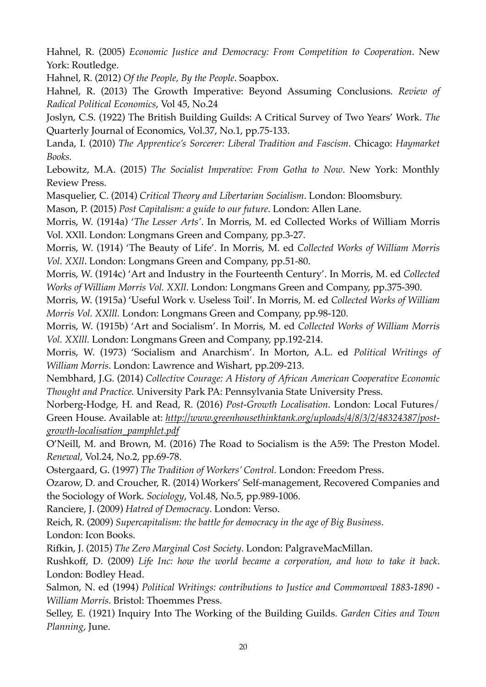Hahnel, R. (2005) *Economic Justice and Democracy: From Competition to Cooperation*. New York: Routledge.

Hahnel, R. (2012) *Of the People, By the People*. Soapbox.

Hahnel, R. (2013) The Growth Imperative: Beyond Assuming Conclusions. *Review of Radical Political Economics*, Vol 45, No.24

Joslyn, C.S. (1922) The British Building Guilds: A Critical Survey of Two Years' Work. *The*  Quarterly Journal of Economics, Vol.37, No.1, pp.75-133.

Landa, I. (2010) *The Apprentice's Sorcerer: Liberal Tradition and Fascism*. Chicago: *Haymarket Books.* 

Lebowitz, M.A. (2015) *The Socialist Imperative: From Gotha to Now*. New York: Monthly Review Press.

Masquelier, C. (2014) *Critical Theory and Libertarian Socialism*. London: Bloomsbury.

Mason, P. (2015) *Post Capitalism: a guide to our future*. London: Allen Lane.

Morris, W. (1914a) '*The Lesser Arts'*. In Morris, M. ed Collected Works of William Morris Vol. XXll. London: Longmans Green and Company, pp.3-27.

Morris, W. (1914) 'The Beauty of Life'. In Morris, M. ed *Collected Works of William Morris Vol. XXll*. London: Longmans Green and Company, pp.51-80.

Morris, W. (1914c) 'Art and Industry in the Fourteenth Century'. In Morris, M. ed *Collected Works of William Morris Vol. XXll*. London: Longmans Green and Company, pp.375-390.

Morris, W. (1915a) 'Useful Work v. Useless Toil'. In Morris, M. ed *Collected Works of William Morris Vol. XXlll.* London: Longmans Green and Company, pp.98-120.

Morris, W. (1915b) 'Art and Socialism'. In Morris, M. ed *Collected Works of William Morris Vol. XXlll.* London: Longmans Green and Company, pp.192-214.

Morris, W. (1973) 'Socialism and Anarchism'. In Morton, A.L. ed *Political Writings of William Morris*. London: Lawrence and Wishart, pp.209-213.

Nembhard, J.G. (2014) *Collective Courage: A History of African American Cooperative Economic Thought and Practice.* University Park PA: Pennsylvania State University Press.

Norberg-Hodge, H. and Read, R. (2016) *Post-Growth Localisation*. London: Local Futures/ Green House. Available at: *http://www.greenhousethinktank.org/uploads/4/8/3/2/48324387/postgrowth-localisation\_pamphlet.pdf*

O'Neill, M. and Brown, M. (2016) *T*he Road to Socialism is the A59: The Preston Model. *Renewal,* Vol.24, No.2, pp.69-78.

Ostergaard, G. (1997) *The Tradition of Workers' Control.* London: Freedom Press.

Ozarow, D. and Croucher, R. (2014) Workers' Self-management, Recovered Companies and the Sociology of Work. *Sociology*, Vol.48, No.5, pp.989-1006.

Ranciere, J. (2009) *Hatred of Democracy*. London: Verso.

Reich, R. (2009) *Supercapitalism: the battle for democracy in the age of Big Business*.

London: Icon Books.

Rifkin, J. (2015) *The Zero Marginal Cost Society*. London: PalgraveMacMillan.

Rushkoff, D. (2009) *Life Inc: how the world became a corporation, and how to take it back*. London: Bodley Head.

Salmon, N. ed (1994) *Political Writings: contributions to Justice and Commonweal 1883-1890 - William Morris*. Bristol: Thoemmes Press.

Selley, E. (1921) Inquiry Into The Working of the Building Guilds. *Garden Cities and Town Planning*, June.